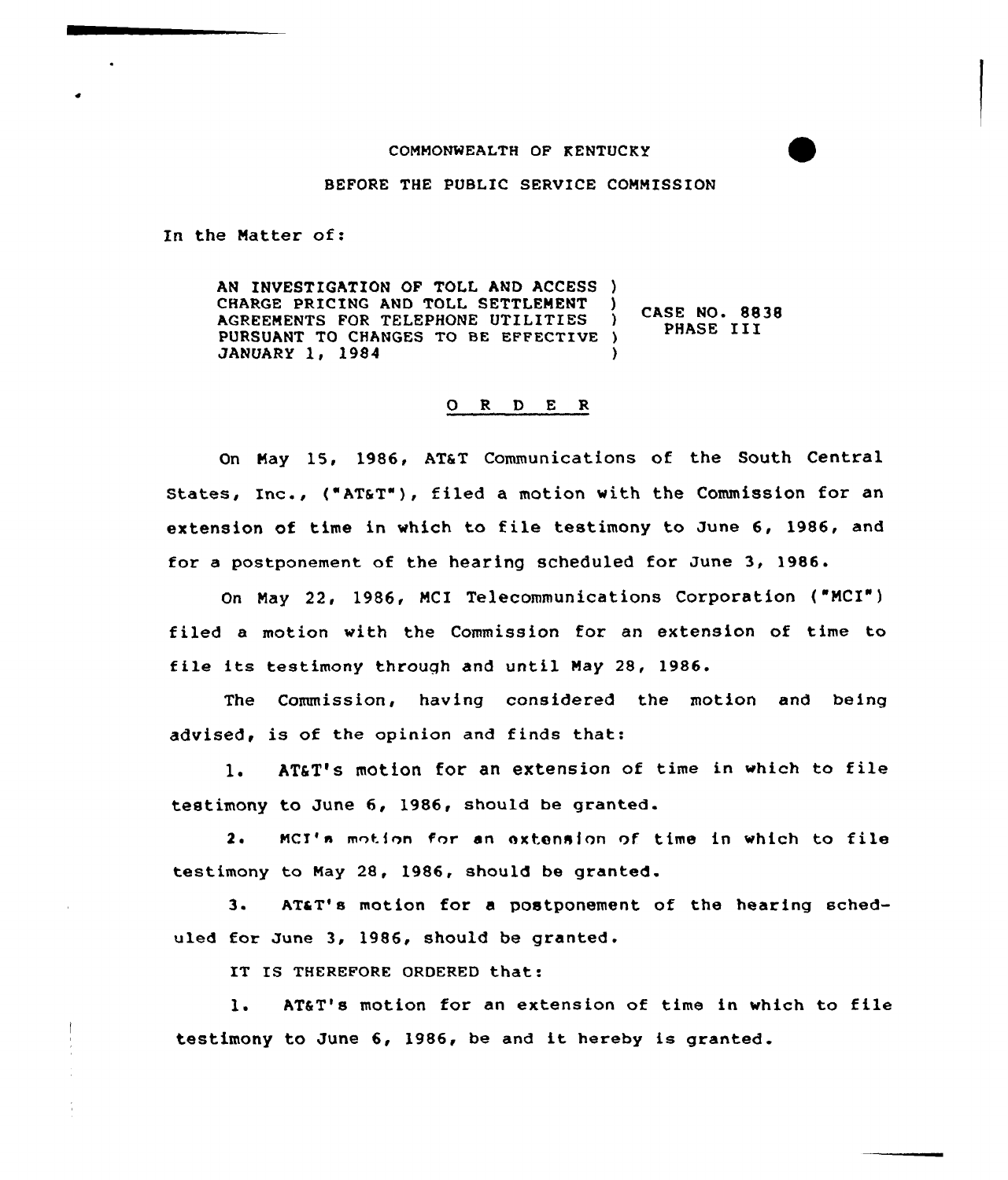## COMMONWEALTH OF KENTUCKY

## BEFORE THE PUBLIC SERVICE COMMISSION

In the Natter of:

AN INVESTIGATION OF TOLL AND ACCESS )<br>CHARGE PRICING AND TOLL SETTLEMENT CHARGE PRICING AND TOLL SETTLEMENT )<br>AGREEMENTS FOR TELEPHONE UTILITIES ) AGREEMENTS FOR TELEPHONE UTILITIES PURSUANT TO CHANGES TO BE EFFECTIVE ) JANUARY 1, 1984 ) CASE NO. 8838 PHASE III

## O R D E R

On May 15, 1986, AT&T Communications of the South Central States, Inc., ("AT&T"), filed a motion with the Commission for an extension of time in which to file testimony to June 6< 1986, and for a postponement of the hearing scheduled for June 3, 1986.

On Nay 22, 1986, NCI Telecommunications Corporation {"NCX") filed a motion with the Commission for an extension of time to tile its testimony through and until Nay 28, 1986.

The Commission, having considered the motion and being advised, is of the opinion and finds that

1. AT&T's motion for an extension of time in which to file testimony to June 6, 1986, should be granted.

2. MCI's motion for an extension of time in which to file testimony to Nay 28, 1986, should be granted.

3. ATaT's motion for <sup>a</sup> postponement of the hearing scheduled for June 3, 1986, should be granted.

IT IS THEREFORE ORDERED that:

1. AT&T's motion for an extension of time in which to file testimony to June 6, 1986, be and it hereby is granted.